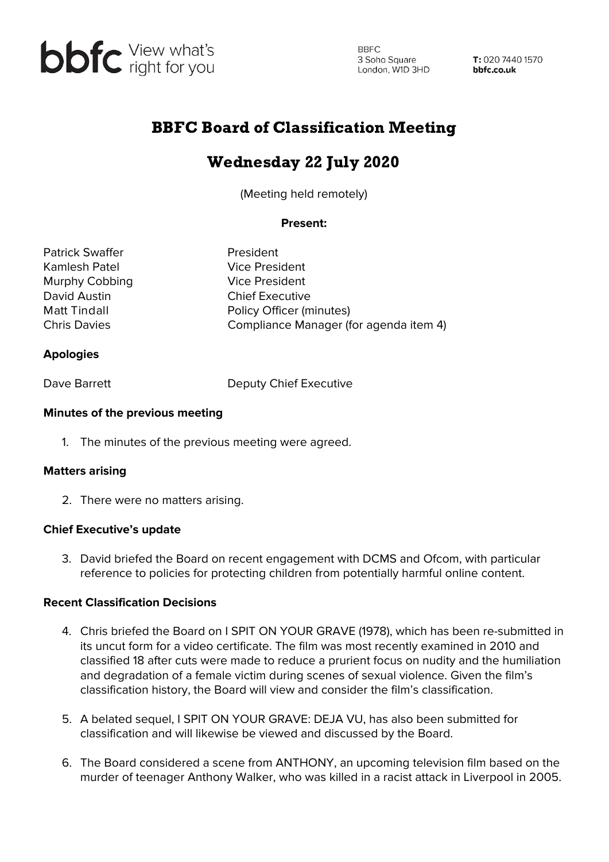

**BBFC** 3 Soho Square 3 Soho Square<br>London, W1D 3HD

T: 020 7440 1570 bbfc.co.uk

# BBFC Board of Classification Meeting

# Wednesday 22 July 2020

(Meeting held remotely)

## **Present:**

Patrick Swaffer **President** Kamlesh Patel Vice President Murphy Cobbing **Vice President** David Austin **Chief Executive** Matt Tindall **Matt Tindall** Policy Officer (minutes) Chris Davies Compliance Manager (for agenda item 4)

#### **Apologies**

Dave Barrett Deputy Chief Executive

#### **Minutes of the previous meeting**

1. The minutes of the previous meeting were agreed.

#### **Matters arising**

2. There were no matters arising.

#### **Chief Executive's update**

3. David briefed the Board on recent engagement with DCMS and Ofcom, with particular reference to policies for protecting children from potentially harmful online content.

#### **Recent Classification Decisions**

- 4. Chris briefed the Board on I SPIT ON YOUR GRAVE (1978), which has been re-submitted in its uncut form for a video certificate. The film was most recently examined in 2010 and classified 18 after cuts were made to reduce a prurient focus on nudity and the humiliation and degradation of a female victim during scenes of sexual violence. Given the film's classification history, the Board will view and consider the film's classification.
- 5. A belated sequel, I SPIT ON YOUR GRAVE: DEJA VU, has also been submitted for classification and will likewise be viewed and discussed by the Board.
- 6. The Board considered a scene from ANTHONY, an upcoming television film based on the murder of teenager Anthony Walker, who was killed in a racist attack in Liverpool in 2005.